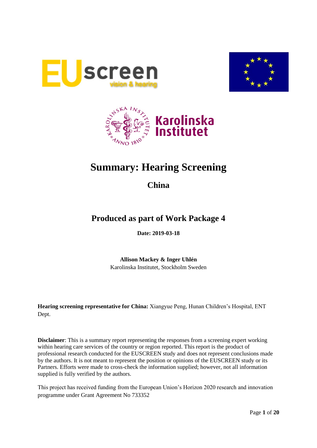





# **Summary: Hearing Screening**

**China**

## **Produced as part of Work Package 4**

**Date: 2019-03-18**

**Allison Mackey & Inger Uhlén** Karolinska Institutet, Stockholm Sweden

**Hearing screening representative for China:** Xiangyue Peng, Hunan Children's Hospital, ENT Dept.

**Disclaimer**: This is a summary report representing the responses from a screening expert working within hearing care services of the country or region reported. This report is the product of professional research conducted for the EUSCREEN study and does not represent conclusions made by the authors. It is not meant to represent the position or opinions of the EUSCREEN study or its Partners. Efforts were made to cross-check the information supplied; however, not all information supplied is fully verified by the authors.

This project has received funding from the European Union's Horizon 2020 research and innovation programme under Grant Agreement No 733352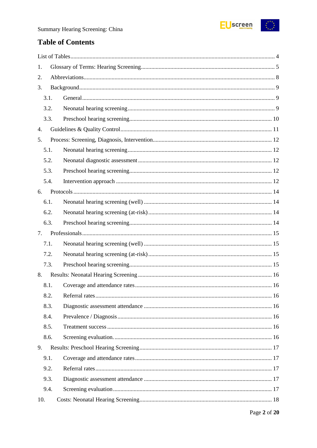

## **Table of Contents**

| 1.   |  |
|------|--|
| 2.   |  |
| 3.   |  |
| 3.1. |  |
| 3.2. |  |
| 3.3. |  |
| 4.   |  |
| 5.   |  |
| 5.1. |  |
| 5.2. |  |
| 5.3. |  |
| 5.4. |  |
| 6.   |  |
| 6.1. |  |
| 6.2. |  |
| 6.3. |  |
| 7.   |  |
| 7.1. |  |
| 7.2. |  |
| 7.3. |  |
| 8.   |  |
| 8.1. |  |
| 8.2. |  |
| 8.3. |  |
| 8.4. |  |
| 8.5. |  |
| 8.6. |  |
| 9.   |  |
| 9.1. |  |
| 9.2. |  |
| 9.3. |  |
| 9.4. |  |
| 10.  |  |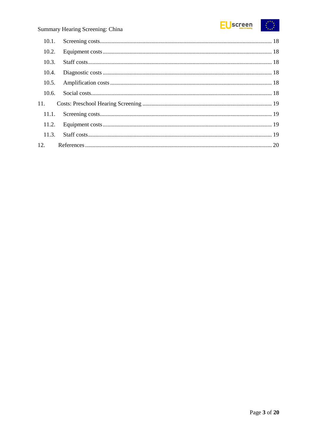

| 10.2. |  |
|-------|--|
| 10.3. |  |
| 10.4. |  |
| 10.5. |  |
| 10.6. |  |
| 11.   |  |
|       |  |
|       |  |
|       |  |
|       |  |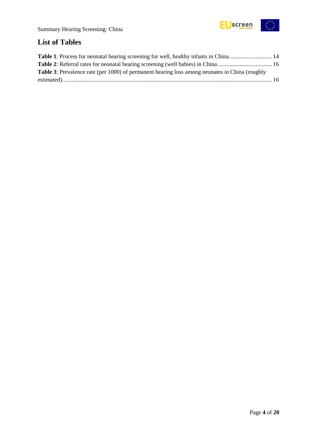

## <span id="page-3-0"></span>**List of Tables**

| Table 1: Process for neonatal hearing screening for well, healthy infants in China 14                 |  |
|-------------------------------------------------------------------------------------------------------|--|
|                                                                                                       |  |
| <b>Table 3:</b> Prevalence rate (per 1000) of permanent hearing loss among neonates in China (roughly |  |
|                                                                                                       |  |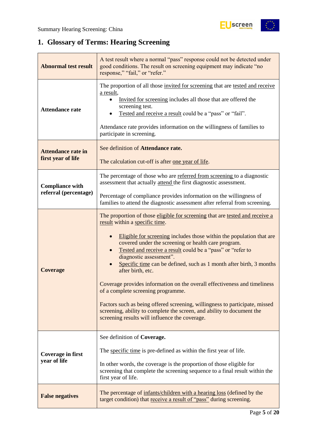$\frac{1}{2}$ 

## <span id="page-4-0"></span>**1. Glossary of Terms: Hearing Screening**

| <b>Abnormal test result</b>                                                                                                                                             | A test result where a normal "pass" response could not be detected under<br>good conditions. The result on screening equipment may indicate "no<br>response," "fail," or "refer."                                                                                                                                                                                                                                                                                                                                                                                                                                                                                                                                                                                |  |  |  |
|-------------------------------------------------------------------------------------------------------------------------------------------------------------------------|------------------------------------------------------------------------------------------------------------------------------------------------------------------------------------------------------------------------------------------------------------------------------------------------------------------------------------------------------------------------------------------------------------------------------------------------------------------------------------------------------------------------------------------------------------------------------------------------------------------------------------------------------------------------------------------------------------------------------------------------------------------|--|--|--|
| <b>Attendance rate</b>                                                                                                                                                  | The proportion of all those invited for screening that are tested and receive<br>a result,<br>Invited for screening includes all those that are offered the<br>screening test.<br>Tested and receive a result could be a "pass" or "fail".<br>Attendance rate provides information on the willingness of families to<br>participate in screening.                                                                                                                                                                                                                                                                                                                                                                                                                |  |  |  |
| <b>Attendance rate in</b><br>first year of life                                                                                                                         | See definition of Attendance rate.<br>The calculation cut-off is after one year of life.                                                                                                                                                                                                                                                                                                                                                                                                                                                                                                                                                                                                                                                                         |  |  |  |
| <b>Compliance with</b><br>referral (percentage)                                                                                                                         | The percentage of those who are referred from screening to a diagnostic<br>assessment that actually attend the first diagnostic assessment.                                                                                                                                                                                                                                                                                                                                                                                                                                                                                                                                                                                                                      |  |  |  |
|                                                                                                                                                                         | Percentage of compliance provides information on the willingness of<br>families to attend the diagnostic assessment after referral from screening.                                                                                                                                                                                                                                                                                                                                                                                                                                                                                                                                                                                                               |  |  |  |
| <b>Coverage</b>                                                                                                                                                         | The proportion of those eligible for screening that are tested and receive a<br>result within a specific time.<br>Eligible for screening includes those within the population that are<br>covered under the screening or health care program.<br>Tested and receive a result could be a "pass" or "refer to<br>diagnostic assessment".<br>Specific time can be defined, such as 1 month after birth, 3 months<br>after birth, etc.<br>Coverage provides information on the overall effectiveness and timeliness<br>of a complete screening programme.<br>Factors such as being offered screening, willingness to participate, missed<br>screening, ability to complete the screen, and ability to document the<br>screening results will influence the coverage. |  |  |  |
| <b>Coverage in first</b><br>year of life                                                                                                                                | See definition of Coverage.<br>The specific time is pre-defined as within the first year of life.<br>In other words, the coverage is the proportion of those eligible for<br>screening that complete the screening sequence to a final result within the<br>first year of life.                                                                                                                                                                                                                                                                                                                                                                                                                                                                                  |  |  |  |
| The percentage of infants/children with a hearing loss (defined by the<br><b>False negatives</b><br>target condition) that receive a result of "pass" during screening. |                                                                                                                                                                                                                                                                                                                                                                                                                                                                                                                                                                                                                                                                                                                                                                  |  |  |  |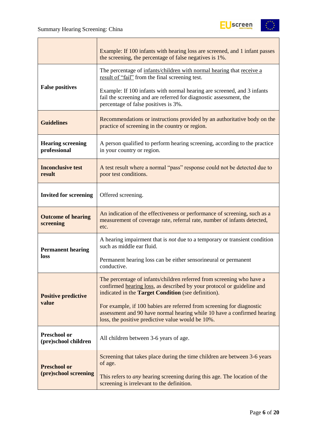Т



|                                             | Example: If 100 infants with hearing loss are screened, and 1 infant passes<br>the screening, the percentage of false negatives is 1%.                                                                        |  |  |  |  |
|---------------------------------------------|---------------------------------------------------------------------------------------------------------------------------------------------------------------------------------------------------------------|--|--|--|--|
|                                             | The percentage of infants/children with normal hearing that receive a<br>result of "fail" from the final screening test.                                                                                      |  |  |  |  |
| <b>False positives</b>                      | Example: If 100 infants with normal hearing are screened, and 3 infants<br>fail the screening and are referred for diagnostic assessment, the<br>percentage of false positives is 3%.                         |  |  |  |  |
| <b>Guidelines</b>                           | Recommendations or instructions provided by an authoritative body on the<br>practice of screening in the country or region.                                                                                   |  |  |  |  |
| <b>Hearing screening</b><br>professional    | A person qualified to perform hearing screening, according to the practice<br>in your country or region.                                                                                                      |  |  |  |  |
| <b>Inconclusive test</b><br>result          | A test result where a normal "pass" response could not be detected due to<br>poor test conditions.                                                                                                            |  |  |  |  |
| <b>Invited for screening</b>                | Offered screening.                                                                                                                                                                                            |  |  |  |  |
| <b>Outcome of hearing</b><br>screening      | An indication of the effectiveness or performance of screening, such as a<br>measurement of coverage rate, referral rate, number of infants detected,<br>etc.                                                 |  |  |  |  |
| <b>Permanent hearing</b>                    | A hearing impairment that is not due to a temporary or transient condition<br>such as middle ear fluid.                                                                                                       |  |  |  |  |
| loss                                        | Permanent hearing loss can be either sensorineural or permanent<br>conductive.                                                                                                                                |  |  |  |  |
| <b>Positive predictive</b>                  | The percentage of infants/children referred from screening who have a<br>confirmed hearing loss, as described by your protocol or guideline and<br>indicated in the <b>Target Condition</b> (see definition). |  |  |  |  |
| value                                       | For example, if 100 babies are referred from screening for diagnostic<br>assessment and 90 have normal hearing while 10 have a confirmed hearing<br>loss, the positive predictive value would be 10%.         |  |  |  |  |
| <b>Preschool or</b><br>(pre)school children | All children between 3-6 years of age.                                                                                                                                                                        |  |  |  |  |
| <b>Preschool or</b>                         | Screening that takes place during the time children are between 3-6 years<br>of age.                                                                                                                          |  |  |  |  |
| (pre)school screening                       | This refers to <i>any</i> hearing screening during this age. The location of the<br>screening is irrelevant to the definition.                                                                                |  |  |  |  |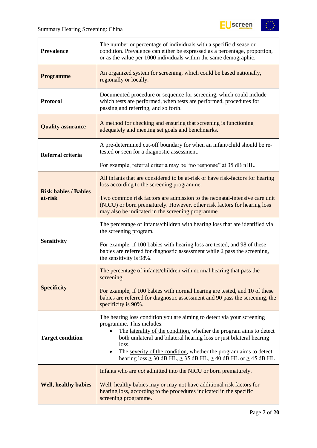

| <b>Prevalence</b>                                                                                                                                                                                                                                                            | The number or percentage of individuals with a specific disease or<br>condition. Prevalence can either be expressed as a percentage, proportion,<br>or as the value per 1000 individuals within the same demographic.                                                                                                                                                                                                          |  |  |  |  |
|------------------------------------------------------------------------------------------------------------------------------------------------------------------------------------------------------------------------------------------------------------------------------|--------------------------------------------------------------------------------------------------------------------------------------------------------------------------------------------------------------------------------------------------------------------------------------------------------------------------------------------------------------------------------------------------------------------------------|--|--|--|--|
| <b>Programme</b>                                                                                                                                                                                                                                                             | An organized system for screening, which could be based nationally,<br>regionally or locally.                                                                                                                                                                                                                                                                                                                                  |  |  |  |  |
| <b>Protocol</b>                                                                                                                                                                                                                                                              | Documented procedure or sequence for screening, which could include<br>which tests are performed, when tests are performed, procedures for<br>passing and referring, and so forth.                                                                                                                                                                                                                                             |  |  |  |  |
| <b>Quality assurance</b>                                                                                                                                                                                                                                                     | A method for checking and ensuring that screening is functioning<br>adequately and meeting set goals and benchmarks.                                                                                                                                                                                                                                                                                                           |  |  |  |  |
| Referral criteria                                                                                                                                                                                                                                                            | A pre-determined cut-off boundary for when an infant/child should be re-<br>tested or seen for a diagnostic assessment.                                                                                                                                                                                                                                                                                                        |  |  |  |  |
|                                                                                                                                                                                                                                                                              | For example, referral criteria may be "no response" at 35 dB nHL.                                                                                                                                                                                                                                                                                                                                                              |  |  |  |  |
| <b>Risk babies / Babies</b>                                                                                                                                                                                                                                                  | All infants that are considered to be at-risk or have risk-factors for hearing<br>loss according to the screening programme.                                                                                                                                                                                                                                                                                                   |  |  |  |  |
| at-risk                                                                                                                                                                                                                                                                      | Two common risk factors are admission to the neonatal-intensive care unit<br>(NICU) or born prematurely. However, other risk factors for hearing loss<br>may also be indicated in the screening programme.                                                                                                                                                                                                                     |  |  |  |  |
|                                                                                                                                                                                                                                                                              | The percentage of infants/children with hearing loss that are identified via<br>the screening program.                                                                                                                                                                                                                                                                                                                         |  |  |  |  |
| <b>Sensitivity</b>                                                                                                                                                                                                                                                           | For example, if 100 babies with hearing loss are tested, and 98 of these<br>babies are referred for diagnostic assessment while 2 pass the screening,<br>the sensitivity is 98%.                                                                                                                                                                                                                                               |  |  |  |  |
|                                                                                                                                                                                                                                                                              | The percentage of infants/children with normal hearing that pass the<br>screening.                                                                                                                                                                                                                                                                                                                                             |  |  |  |  |
| <b>Specificity</b>                                                                                                                                                                                                                                                           | For example, if 100 babies with normal hearing are tested, and 10 of these<br>babies are referred for diagnostic assessment and 90 pass the screening, the<br>specificity is 90%.                                                                                                                                                                                                                                              |  |  |  |  |
| <b>Target condition</b>                                                                                                                                                                                                                                                      | The hearing loss condition you are aiming to detect via your screening<br>programme. This includes:<br>The laterality of the condition, whether the program aims to detect<br>both unilateral and bilateral hearing loss or just bilateral hearing<br>loss.<br>The severity of the condition, whether the program aims to detect<br>$\bullet$<br>hearing $loss \ge 30$ dB HL, $\ge 35$ dB HL, $\ge 40$ dB HL or $\ge 45$ dB HL |  |  |  |  |
| Infants who are <i>not</i> admitted into the NICU or born prematurely.<br>Well, healthy babies may or may not have additional risk factors for<br><b>Well, healthy babies</b><br>hearing loss, according to the procedures indicated in the specific<br>screening programme. |                                                                                                                                                                                                                                                                                                                                                                                                                                |  |  |  |  |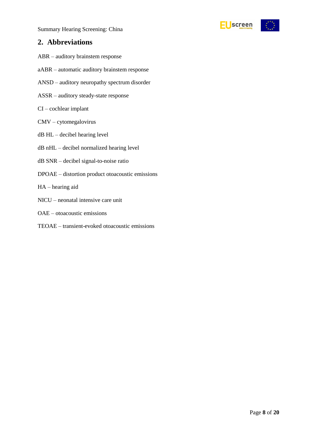

## <span id="page-7-0"></span>**2. Abbreviations**

- ABR auditory brainstem response
- aABR automatic auditory brainstem response
- ANSD auditory neuropathy spectrum disorder
- ASSR auditory steady-state response
- CI cochlear implant
- CMV cytomegalovirus
- dB HL decibel hearing level
- dB nHL decibel normalized hearing level
- dB SNR decibel signal-to-noise ratio
- DPOAE distortion product otoacoustic emissions
- HA hearing aid
- NICU neonatal intensive care unit
- OAE otoacoustic emissions
- TEOAE transient-evoked otoacoustic emissions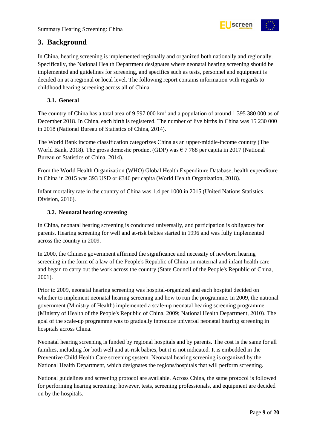

## <span id="page-8-0"></span>**3. Background**

In China, hearing screening is implemented regionally and organized both nationally and regionally. Specifically, the National Health Department designates where neonatal hearing screening should be implemented and guidelines for screening, and specifics such as tests, personnel and equipment is decided on at a regional or local level. The following report contains information with regards to childhood hearing screening across all of China.

#### <span id="page-8-1"></span>**3.1. General**

The country of China has a total area of 9 597 000 km<sup>2</sup> and a population of around 1 395 380 000 as of December 2018. In China, each birth is registered. The number of live births in China was 15 230 000 in 2018 (National Bureau of Statistics of China, 2014).

The World Bank income classification categorizes China as an upper-middle-income country (The World Bank, 2018). The gross domestic product (GDP) was  $\epsilon$  7 768 per capita in 2017 (National Bureau of Statistics of China, 2014).

From the World Health Organization (WHO) Global Health Expenditure Database, health expenditure in China in 2015 was 393 USD or €346 per capita (World Health Organization, 2018).

Infant mortality rate in the country of China was 1.4 per 1000 in 2015 (United Nations Statistics Division, 2016).

#### <span id="page-8-2"></span>**3.2. Neonatal hearing screening**

In China, neonatal hearing screening is conducted universally, and participation is obligatory for parents. Hearing screening for well and at-risk babies started in 1996 and was fully implemented across the country in 2009.

In 2000, the Chinese government affirmed the significance and necessity of newborn hearing screening in the form of a law of the People's Republic of China on maternal and infant health care and began to carry out the work across the country (State Council of the People's Republic of China, 2001).

Prior to 2009, neonatal hearing screening was hospital-organized and each hospital decided on whether to implement neonatal hearing screening and how to run the programme. In 2009, the national government (Ministry of Health) implemented a scale-up neonatal hearing screening programme (Ministry of Health of the People's Republic of China, 2009; National Health Department, 2010). The goal of the scale-up programme was to gradually introduce universal neonatal hearing screening in hospitals across China.

Neonatal hearing screening is funded by regional hospitals and by parents. The cost is the same for all families, including for both well and at-risk babies, but it is not indicated. It is embedded in the Preventive Child Health Care screening system. Neonatal hearing screening is organized by the National Health Department, which designates the regions/hospitals that will perform screening.

National guidelines and screening protocol are available. Across China, the same protocol is followed for performing hearing screening; however, tests, screening professionals, and equipment are decided on by the hospitals.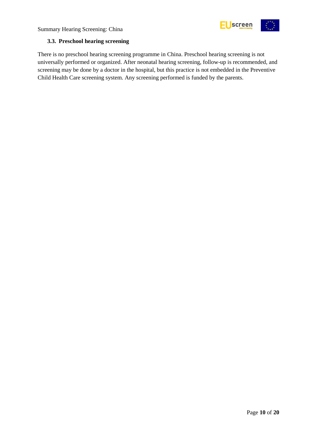



#### <span id="page-9-0"></span>**3.3. Preschool hearing screening**

There is no preschool hearing screening programme in China. Preschool hearing screening is not universally performed or organized. After neonatal hearing screening, follow-up is recommended, and screening may be done by a doctor in the hospital, but this practice is not embedded in the Preventive Child Health Care screening system. Any screening performed is funded by the parents.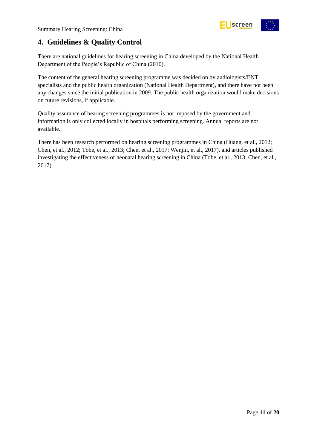

## <span id="page-10-0"></span>**4. Guidelines & Quality Control**

There are national guidelines for hearing screening in China developed by the National Health Department of the People's Republic of China (2010).

The content of the general hearing screening programme was decided on by audiologists/ENT specialists and the public health organization (National Health Department), and there have not been any changes since the initial publication in 2009. The public health organization would make decisions on future revisions, if applicable.

Quality assurance of hearing screening programmes is not imposed by the government and information is only collected locally in hospitals performing screening. Annual reports are not available.

There has been research performed on hearing screening programmes in China (Huang, et al., 2012; Chen, et al., 2012; Tobe, et al., 2013; Chen, et al., 2017; Wenjin, et al., 2017), and articles published investigating the effectiveness of neonatal hearing screening in China (Tobe, et al., 2013; Chen, et al., 2017).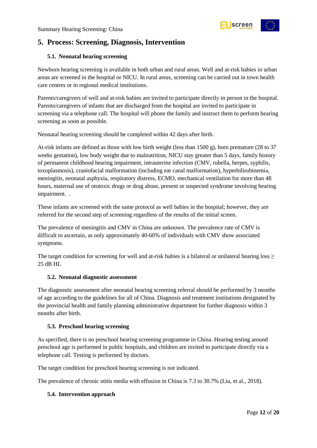

## <span id="page-11-0"></span>**5. Process: Screening, Diagnosis, Intervention**

#### <span id="page-11-1"></span>**5.1. Neonatal hearing screening**

Newborn hearing screening is available in both urban and rural areas. Well and at-risk babies in urban areas are screened in the hospital or NICU. In rural areas, screening can be carried out in town health care centres or in regional medical institutions.

Parents/caregivers of well and at-risk babies are invited to participate directly in person in the hospital. Parents/caregivers of infants that are discharged from the hospital are invited to participate in screening via a telephone call. The hospital will phone the family and instruct them to perform hearing screening as soon as possible.

Neonatal hearing screening should be completed within 42 days after birth.

At-risk infants are defined as those with low birth weight (less than 1500 g), born premature (28 to 37 weeks gestation), low body weight due to malnutrition, NICU stay greater than 5 days, family history of permanent childhood hearing impairment, intrauterine infection (CMV, rubella, herpes, syphilis, toxoplasmosis), craniofacial malformation (including ear canal malformation), hyperbilirubinemia, meningitis, neonatal asphyxia, respiratory distress, ECMO, mechanical ventilation for more than 48 hours, maternal use of ototoxic drugs or drug abuse, present or suspected syndrome involving hearing impairment. .

These infants are screened with the same protocol as well babies in the hospital; however, they are referred for the second step of screening regardless of the results of the initial screen.

The prevalence of meningitis and CMV in China are unknown. The prevalence rate of CMV is difficult to ascertain, as only approximately 40-60% of individuals with CMV show associated symptoms.

The target condition for screening for well and at-risk babies is a bilateral or unilateral hearing loss  $\geq$ 25 dB HL

#### <span id="page-11-2"></span>**5.2. Neonatal diagnostic assessment**

The diagnostic assessment after neonatal hearing screening referral should be performed by 3 months of age according to the guidelines for all of China. Diagnosis and treatment institutions designated by the provincial health and family planning administrative department for further diagnosis within 3 months after birth.

#### <span id="page-11-3"></span>**5.3. Preschool hearing screening**

As specified, there is no preschool hearing screening programme in China. Hearing testing around preschool age is performed in public hospitals, and children are invited to participate directly via a telephone call. Testing is performed by doctors.

The target condition for preschool hearing screening is not indicated.

The prevalence of chronic otitis media with effusion in China is 7.3 to 30.7% (Liu, et al., 2018).

#### <span id="page-11-4"></span>**5.4. Intervention approach**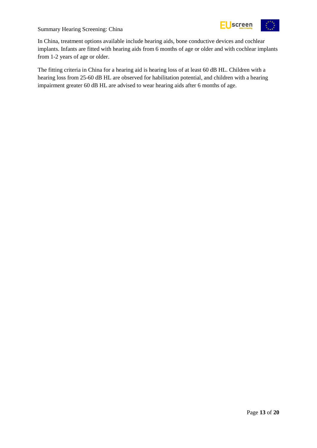

In China, treatment options available include hearing aids, bone conductive devices and cochlear implants. Infants are fitted with hearing aids from 6 months of age or older and with cochlear implants from 1-2 years of age or older.

The fitting criteria in China for a hearing aid is hearing loss of at least 60 dB HL. Children with a hearing loss from 25-60 dB HL are observed for habilitation potential, and children with a hearing impairment greater 60 dB HL are advised to wear hearing aids after 6 months of age.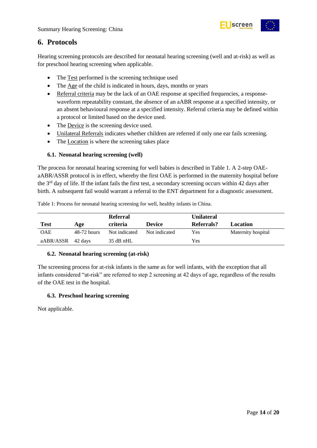

## <span id="page-13-0"></span>**6. Protocols**

Hearing screening protocols are described for neonatal hearing screening (well and at-risk) as well as for preschool hearing screening when applicable.

- The Test performed is the screening technique used
- The Age of the child is indicated in hours, days, months or years
- Referral criteria may be the lack of an OAE response at specified frequencies, a responsewaveform repeatability constant, the absence of an aABR response at a specified intensity, or an absent behavioural response at a specified intensity. Referral criteria may be defined within a protocol or limited based on the device used.
- The Device is the screening device used.
- Unilateral Referrals indicates whether children are referred if only one ear fails screening.
- The Location is where the screening takes place

#### <span id="page-13-1"></span>**6.1. Neonatal hearing screening (well)**

The process for neonatal hearing screening for well babies is described in Table 1. A 2-step OAEaABR/ASSR protocol is in effect, whereby the first OAE is performed in the maternity hospital before the 3rd day of life. If the infant fails the first test, a secondary screening occurs within 42 days after birth. A subsequent fail would warrant a referral to the ENT department for a diagnostic assessment.

<span id="page-13-4"></span>

|  |  |  |  |  | Table 1: Process for neonatal hearing screening for well, healthy infants in China. |
|--|--|--|--|--|-------------------------------------------------------------------------------------|
|--|--|--|--|--|-------------------------------------------------------------------------------------|

|                   |               | <b>Referral</b> |               | <b>Unilateral</b> |                    |
|-------------------|---------------|-----------------|---------------|-------------------|--------------------|
| <b>Test</b>       | Age           | criteria        | <b>Device</b> | Referrals?        | Location           |
| <b>OAE</b>        | $48-72$ hours | Not indicated   | Not indicated | Yes               | Maternity hospital |
| aABR/ASSR 42 days |               | $35$ dB nHL     |               | Yes               |                    |

#### <span id="page-13-2"></span>**6.2. Neonatal hearing screening (at-risk)**

The screening process for at-risk infants is the same as for well infants, with the exception that all infants considered "at-risk" are referred to step 2 screening at 42 days of age, regardless of the results of the OAE test in the hospital.

#### <span id="page-13-3"></span>**6.3. Preschool hearing screening**

Not applicable.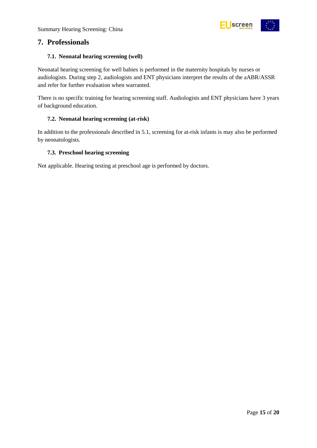

### <span id="page-14-0"></span>**7. Professionals**

#### <span id="page-14-1"></span>**7.1. Neonatal hearing screening (well)**

Neonatal hearing screening for well babies is performed in the maternity hospitals by nurses or audiologists. During step 2, audiologists and ENT physicians interpret the results of the aABR/ASSR and refer for further evaluation when warranted.

There is no specific training for hearing screening staff. Audiologists and ENT physicians have 3 years of background education.

#### <span id="page-14-2"></span>**7.2. Neonatal hearing screening (at-risk)**

In addition to the professionals described in 5.1, screening for at-risk infants is may also be performed by neonatologists.

#### <span id="page-14-3"></span>**7.3. Preschool hearing screening**

Not applicable. Hearing testing at preschool age is performed by doctors.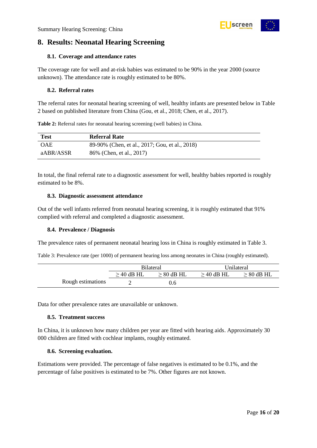## <span id="page-15-0"></span>**8. Results: Neonatal Hearing Screening**

#### <span id="page-15-1"></span>**8.1. Coverage and attendance rates**

The coverage rate for well and at-risk babies was estimated to be 90% in the year 2000 (source unknown). The attendance rate is roughly estimated to be 80%.

#### <span id="page-15-2"></span>**8.2. Referral rates**

The referral rates for neonatal hearing screening of well, healthy infants are presented below in Table 2 based on published literature from China (Gou, et al., 2018; Chen, et al., 2017).

<span id="page-15-7"></span>**Table 2:** Referral rates for neonatal hearing screening (well babies) in China.

| <b>Test</b> | <b>Referral Rate</b>                           |
|-------------|------------------------------------------------|
| <b>OAE</b>  | 89-90% (Chen, et al., 2017; Gou, et al., 2018) |
| aABR/ASSR   | 86% (Chen, et al., 2017)                       |

In total, the final referral rate to a diagnostic assessment for well, healthy babies reported is roughly estimated to be 8%.

#### <span id="page-15-3"></span>**8.3. Diagnostic assessment attendance**

Out of the well infants referred from neonatal hearing screening, it is roughly estimated that 91% complied with referral and completed a diagnostic assessment.

#### <span id="page-15-4"></span>**8.4. Prevalence / Diagnosis**

The prevalence rates of permanent neonatal hearing loss in China is roughly estimated in Table 3.

<span id="page-15-8"></span>Table 3: Prevalence rate (per 1000) of permanent hearing loss among neonates in China (roughly estimated).

|                   | <b>Bilateral</b> |                 | Unilateral      |                 |
|-------------------|------------------|-----------------|-----------------|-----------------|
|                   | $\geq$ 40 dB HL  | $\geq 80$ dB HL | $\geq$ 40 dB HL | $\geq 80$ dB HL |
| Rough estimations |                  | 0.6             |                 |                 |

Data for other prevalence rates are unavailable or unknown.

#### <span id="page-15-5"></span>**8.5. Treatment success**

In China, it is unknown how many children per year are fitted with hearing aids. Approximately 30 000 children are fitted with cochlear implants, roughly estimated.

#### <span id="page-15-6"></span>**8.6. Screening evaluation.**

Estimations were provided. The percentage of false negatives is estimated to be 0.1%, and the percentage of false positives is estimated to be 7%. Other figures are not known.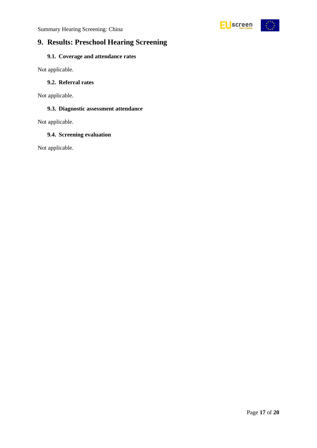

## <span id="page-16-0"></span>**9. Results: Preschool Hearing Screening**

### <span id="page-16-1"></span>**9.1. Coverage and attendance rates**

Not applicable.

#### <span id="page-16-2"></span>**9.2. Referral rates**

Not applicable.

#### <span id="page-16-3"></span>**9.3. Diagnostic assessment attendance**

Not applicable.

#### <span id="page-16-4"></span>**9.4. Screening evaluation**

Not applicable.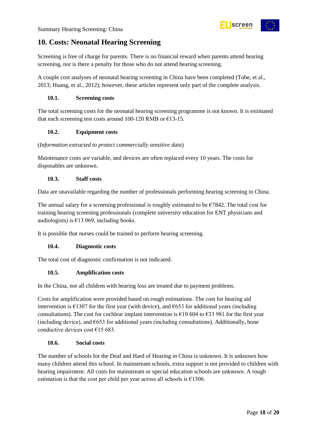## <span id="page-17-0"></span>**10. Costs: Neonatal Hearing Screening**

Screening is free of charge for parents. There is no financial reward when parents attend hearing screening, nor is there a penalty for those who do not attend hearing screening.

A couple cost analyses of neonatal hearing screening in China have been completed (Tobe, et al., 2013; Huang, et al., 2012); however, these articles represent only part of the complete analysis.

#### <span id="page-17-1"></span>**10.1. Screening costs**

The total screening costs for the neonatal hearing screening programme is not known. It is estimated that each screening test costs around 100-120 RMB or  $E$ 13-15.

#### <span id="page-17-2"></span>**10.2. Equipment costs**

#### (*Information extracted to protect commercially sensitive data*)

Maintenance costs are variable, and devices are often replaced every 10 years. The costs for disposables are unknown.

#### <span id="page-17-3"></span>**10.3. Staff costs**

Data are unavailable regarding the number of professionals performing hearing screening in China.

The annual salary for a screening professional is roughly estimated to be  $\epsilon$ 7842. The total cost for training hearing screening professionals (complete university education for ENT physicians and audiologists) is  $\epsilon$ 13 069, including books.

It is possible that nurses could be trained to perform hearing screening.

#### <span id="page-17-4"></span>**10.4. Diagnostic costs**

The total cost of diagnostic confirmation is not indicated.

#### <span id="page-17-5"></span>**10.5. Amplification costs**

In the China, not all children with hearing loss are treated due to payment problems.

Costs for amplification were provided based on rough estimations. The cost for hearing aid intervention is  $\epsilon$ 1307 for the first year (with device), and  $\epsilon$ 653 for additional years (including consultations). The cost for cochlear implant intervention is  $\epsilon$ 19 604 to  $\epsilon$ 33 981 for the first year (including device), and  $E$ 653 for additional years (including consultations). Additionally, bone conductive devices cost  $\epsilon$ 15 683.

#### <span id="page-17-6"></span>**10.6. Social costs**

The number of schools for the Deaf and Hard of Hearing in China is unknown. It is unknown how many children attend this school. In mainstream schools, extra support is not provided to children with hearing impairment. All costs for mainstream or special education schools are unknown. A rough estimation is that the cost per child per year across all schools is  $£1306$ .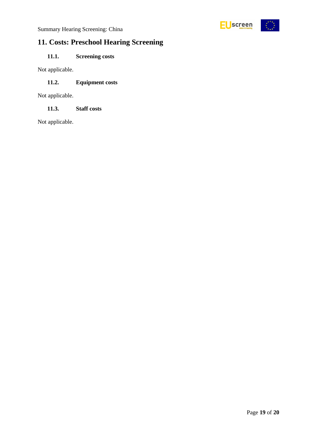

## <span id="page-18-0"></span>**11. Costs: Preschool Hearing Screening**

### <span id="page-18-1"></span>**11.1. Screening costs**

Not applicable.

#### <span id="page-18-2"></span>**11.2. Equipment costs**

Not applicable.

<span id="page-18-3"></span>**11.3. Staff costs**

Not applicable.